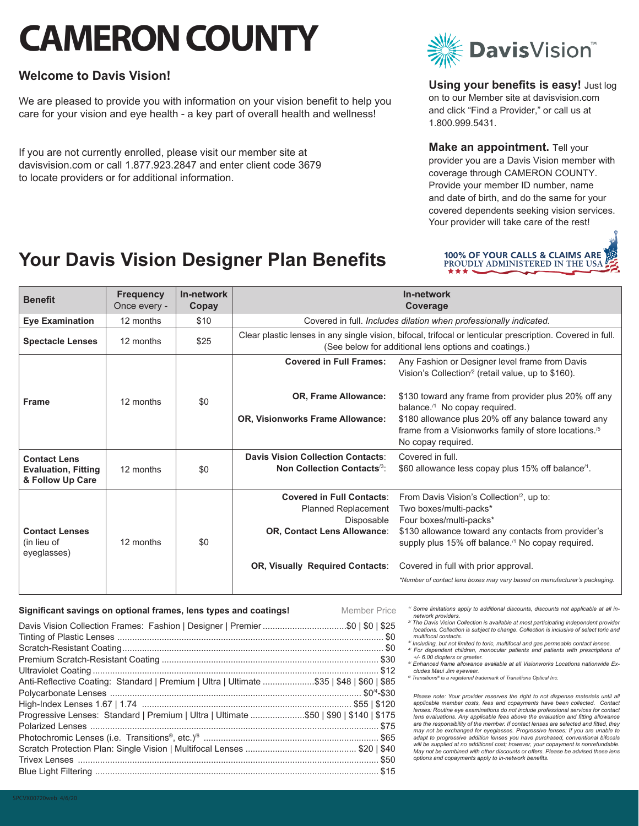# **CAMERON COUNTY**

# **Welcome to Davis Vision!**

We are pleased to provide you with information on your vision benefit to help you care for your vision and eye health - a key part of overall health and wellness!

If you are not currently enrolled, please visit our member site at davisvision.com or call 1.877.923.2847 and enter client code 3679 to locate providers or for additional information.



**Using your benefits is easy!** Just log on to our Member site at davisvision.com and click "Find a Provider," or call us at 1.800.999.5431.

**Make an appointment.** Tell your provider you are a Davis Vision member with coverage through CAMERON COUNTY. Provide your member ID number, name and date of birth, and do the same for your covered dependents seeking vision services. Your provider will take care of the rest!

# **Your Davis Vision Designer Plan Benefits**



| <b>Benefit</b>                                      | <b>Frequency</b><br>Once every - | In-network<br>Copay | In-network<br>Coverage                                                                                                                                             |                                                                                                                                                |
|-----------------------------------------------------|----------------------------------|---------------------|--------------------------------------------------------------------------------------------------------------------------------------------------------------------|------------------------------------------------------------------------------------------------------------------------------------------------|
| <b>Eye Examination</b>                              | 12 months                        | \$10                | Covered in full. Includes dilation when professionally indicated.                                                                                                  |                                                                                                                                                |
| <b>Spectacle Lenses</b>                             | 12 months                        | \$25                | Clear plastic lenses in any single vision, bifocal, trifocal or lenticular prescription. Covered in full.<br>(See below for additional lens options and coatings.) |                                                                                                                                                |
| <b>Frame</b>                                        | 12 months                        | \$0                 | <b>Covered in Full Frames:</b>                                                                                                                                     | Any Fashion or Designer level frame from Davis<br>Vision's Collection <sup>/2</sup> (retail value, up to \$160).                               |
|                                                     |                                  |                     | <b>OR, Frame Allowance:</b>                                                                                                                                        | \$130 toward any frame from provider plus 20% off any<br>balance. <sup>/1</sup> No copay required.                                             |
|                                                     |                                  |                     | <b>OR, Visionworks Frame Allowance:</b>                                                                                                                            | \$180 allowance plus 20% off any balance toward any<br>frame from a Visionworks family of store locations. <sup>/5</sup><br>No copay required. |
| <b>Contact Lens</b>                                 |                                  |                     | Davis Vision Collection Contacts:                                                                                                                                  | Covered in full.                                                                                                                               |
| <b>Evaluation, Fitting</b><br>& Follow Up Care      | 12 months                        | \$0                 | Non Collection Contacts <sup>/3</sup> :                                                                                                                            | \$60 allowance less copay plus 15% off balance <sup>/1</sup> .                                                                                 |
| <b>Contact Lenses</b><br>(in lieu of<br>eyeglasses) | 12 months                        | \$0                 | <b>Covered in Full Contacts:</b>                                                                                                                                   | From Davis Vision's Collection <sup>'2</sup> , up to:                                                                                          |
|                                                     |                                  |                     | <b>Planned Replacement</b>                                                                                                                                         | Two boxes/multi-packs*                                                                                                                         |
|                                                     |                                  |                     | Disposable                                                                                                                                                         | Four boxes/multi-packs*                                                                                                                        |
|                                                     |                                  |                     | <b>OR, Contact Lens Allowance:</b>                                                                                                                                 | \$130 allowance toward any contacts from provider's<br>supply plus 15% off balance. <sup>/1</sup> No copay required.                           |
|                                                     |                                  |                     | <b>OR, Visually Required Contacts:</b>                                                                                                                             | Covered in full with prior approval.                                                                                                           |
|                                                     |                                  |                     |                                                                                                                                                                    | *Number of contact lens boxes may vary based on manufacturer's packaging.                                                                      |

#### **Significant savings on optional frames, lens types and coatings! Member Price**

*1/ Some limitations apply to additional discounts, discounts not applicable at all in-*

- Davis Vision Collection Frames: Fashion | Designer | Premier..................................\$0 | \$0 | \$25 Tinting of Plastic Lenses ............................................................................................................ \$0 Scratch-Resistant Coating.......................................................................................................... \$0 Premium Scratch-Resistant Coating ........................................................................................ \$30 Ultraviolet Coating .................................................................................................................... \$12 Anti-Reflective Coating: Standard | Premium | Ultra | Ultimate .....................\$35 | \$48 | \$60 | \$85 Polycarbonate Lenses ...................................................................................................... \$0/4-\$30 High-Index Lenses 1.67 | 1.74 ..................................................................................... \$55 | \$120 Progressive Lenses: Standard | Premium | Ultra | Ultimate ......................\$50 | \$90 | \$140 | \$175 Polarized Lenses ..................................................................................................................... \$75 Photochromic Lenses (i.e. Transitions®, etc.)/6 ....................................................................... \$65 Scratch Protection Plan: Single Vision | Multifocal Lenses ............................................. \$20 | \$40 Trivex Lenses .......................................................................................................................... \$50 Blue Light Filtering ................................................................................................................... \$15
- *network providers.*
- *2/ The Davis Vision Collection is available at most participating independent provider locations. Collection is subject to change. Collection is inclusive of select toric and multifocal contacts.*
- *3/ Including, but not limited to toric, multifocal and gas permeable contact lenses. 4/ For dependent children, monocular patients and patients with prescriptions of +/- 6.00 diopters or greater.*
- *5/ Enhanced frame allowance available at all Visionworks Locations nationwide Ex-*
- *cludes Maui Jim eyewear. 6/ Transitions® is a registered trademark of Transitions Optical Inc.*

Please note: Your provider reserves the right to not dispense materials until all *applicable member costs, fees and copayments have been collected. Contact lenses: Routine eye examinations do not include professional services for contact lens evaluations. Any applicable fees above the evaluation and fitting allowance are the responsibility of the member. If contact lenses are selected and fitted, they may not be exchanged for eyeglasses. Progressive lenses: If you are unable to*  adapt to progressive addition lenses you have purchased, conventional bifocals will be supplied at no additional cost; however, your copayment is nonrefundable.<br>May not be combined with other discounts or offers. Please be advised these lens *options and copayments apply to in-network benefits.*